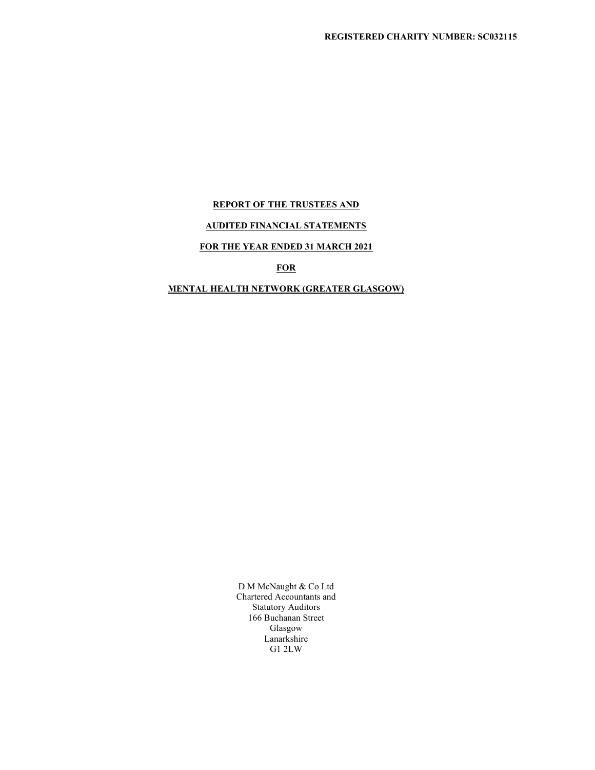## REPORT OF THE TRUSTEES AND

## AUDITED FINANCIAL STATEMENTS

# FOR THE YEAR ENDED 31 MARCH 2021

# **FOR**

# MENTAL HEALTH NETWORK (GREATER GLASGOW)

 D M McNaught & Co Ltd Chartered Accountants and Statutory Auditors 166 Buchanan Street Glasgow Lanarkshire G1 2LW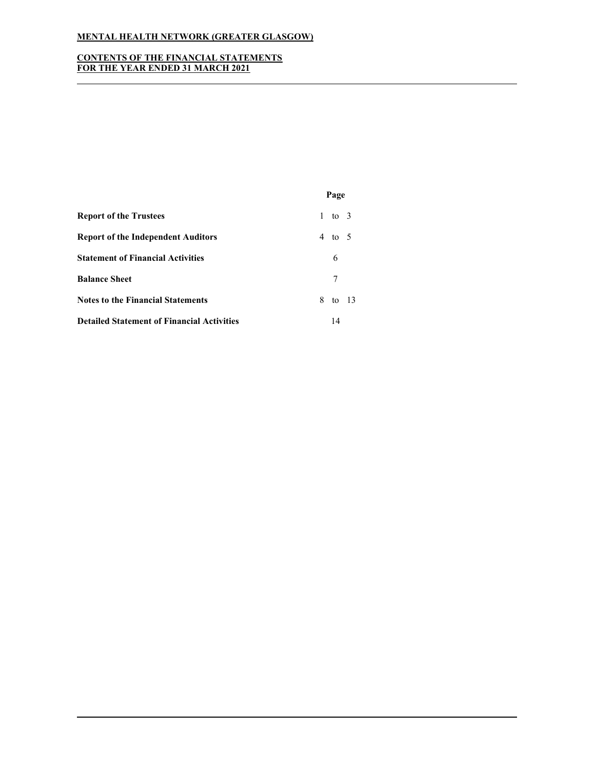# CONTENTS OF THE FINANCIAL STATEMENTS FOR THE YEAR ENDED 31 MARCH 2021

|                                                   |              | Page   |         |
|---------------------------------------------------|--------------|--------|---------|
| <b>Report of the Trustees</b>                     | $\mathbf{1}$ | to 3   |         |
| <b>Report of the Independent Auditors</b>         |              | 4 to 5 |         |
| <b>Statement of Financial Activities</b>          |              | 6      |         |
| <b>Balance Sheet</b>                              |              | 7      |         |
| <b>Notes to the Financial Statements</b>          | 8            |        | to $13$ |
| <b>Detailed Statement of Financial Activities</b> |              | 14     |         |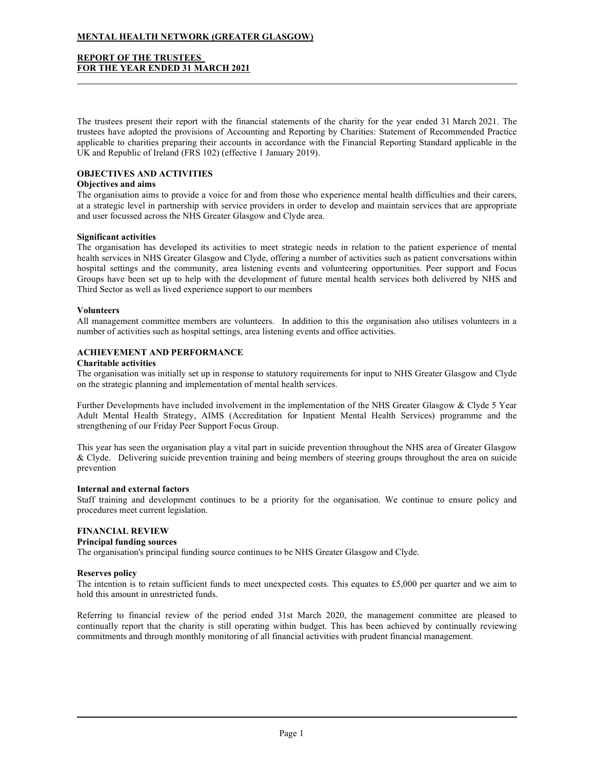## REPORT OF THE TRUSTEES FOR THE YEAR ENDED 31 MARCH 2021

The trustees present their report with the financial statements of the charity for the year ended 31 March 2021. The trustees have adopted the provisions of Accounting and Reporting by Charities: Statement of Recommended Practice applicable to charities preparing their accounts in accordance with the Financial Reporting Standard applicable in the UK and Republic of Ireland (FRS 102) (effective 1 January 2019).

## OBJECTIVES AND ACTIVITIES

### Objectives and aims

The organisation aims to provide a voice for and from those who experience mental health difficulties and their carers, at a strategic level in partnership with service providers in order to develop and maintain services that are appropriate and user focussed across the NHS Greater Glasgow and Clyde area.

#### Significant activities

The organisation has developed its activities to meet strategic needs in relation to the patient experience of mental health services in NHS Greater Glasgow and Clyde, offering a number of activities such as patient conversations within hospital settings and the community, area listening events and volunteering opportunities. Peer support and Focus Groups have been set up to help with the development of future mental health services both delivered by NHS and Third Sector as well as lived experience support to our members

#### Volunteers

All management committee members are volunteers. In addition to this the organisation also utilises volunteers in a number of activities such as hospital settings, area listening events and office activities.

## ACHIEVEMENT AND PERFORMANCE

#### Charitable activities

The organisation was initially set up in response to statutory requirements for input to NHS Greater Glasgow and Clyde on the strategic planning and implementation of mental health services.

Further Developments have included involvement in the implementation of the NHS Greater Glasgow & Clyde 5 Year Adult Mental Health Strategy, AIMS (Accreditation for Inpatient Mental Health Services) programme and the strengthening of our Friday Peer Support Focus Group.

This year has seen the organisation play a vital part in suicide prevention throughout the NHS area of Greater Glasgow & Clyde. Delivering suicide prevention training and being members of steering groups throughout the area on suicide prevention

#### Internal and external factors

Staff training and development continues to be a priority for the organisation. We continue to ensure policy and procedures meet current legislation.

## FINANCIAL REVIEW

#### Principal funding sources

The organisation's principal funding source continues to be NHS Greater Glasgow and Clyde.

## Reserves policy

The intention is to retain sufficient funds to meet unexpected costs. This equates to  $£5,000$  per quarter and we aim to hold this amount in unrestricted funds.

Referring to financial review of the period ended 31st March 2020, the management committee are pleased to continually report that the charity is still operating within budget. This has been achieved by continually reviewing commitments and through monthly monitoring of all financial activities with prudent financial management.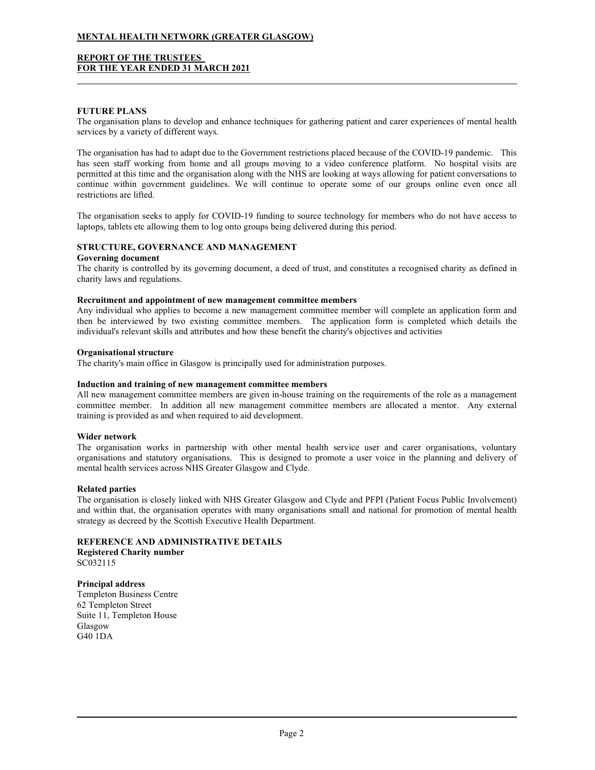## REPORT OF THE TRUSTEES FOR THE YEAR ENDED 31 MARCH 2021

## FUTURE PLANS

The organisation plans to develop and enhance techniques for gathering patient and carer experiences of mental health services by a variety of different ways.

The organisation has had to adapt due to the Government restrictions placed because of the COVID-19 pandemic. This has seen staff working from home and all groups moving to a video conference platform. No hospital visits are permitted at this time and the organisation along with the NHS are looking at ways allowing for patient conversations to continue within government guidelines. We will continue to operate some of our groups online even once all restrictions are lifted.

The organisation seeks to apply for COVID-19 funding to source technology for members who do not have access to laptops, tablets etc allowing them to log onto groups being delivered during this period.

## STRUCTURE, GOVERNANCE AND MANAGEMENT

#### Governing document

The charity is controlled by its governing document, a deed of trust, and constitutes a recognised charity as defined in charity laws and regulations.

#### Recruitment and appointment of new management committee members

Any individual who applies to become a new management committee member will complete an application form and then be interviewed by two existing committee members. The application form is completed which details the individual's relevant skills and attributes and how these benefit the charity's objectives and activities

#### Organisational structure

The charity's main office in Glasgow is principally used for administration purposes.

## Induction and training of new management committee members

All new management committee members are given in-house training on the requirements of the role as a management committee member. In addition all new management committee members are allocated a mentor. Any external training is provided as and when required to aid development.

## Wider network

The organisation works in partnership with other mental health service user and carer organisations, voluntary organisations and statutory organisations. This is designed to promote a user voice in the planning and delivery of mental health services across NHS Greater Glasgow and Clyde.

## Related parties

The organisation is closely linked with NHS Greater Glasgow and Clyde and PFPI (Patient Focus Public Involvement) and within that, the organisation operates with many organisations small and national for promotion of mental health strategy as decreed by the Scottish Executive Health Department.

# REFERENCE AND ADMINISTRATIVE DETAILS Registered Charity number

SC032115

## Principal address

Templeton Business Centre 62 Templeton Street Suite 11, Templeton House Glasgow G40 1DA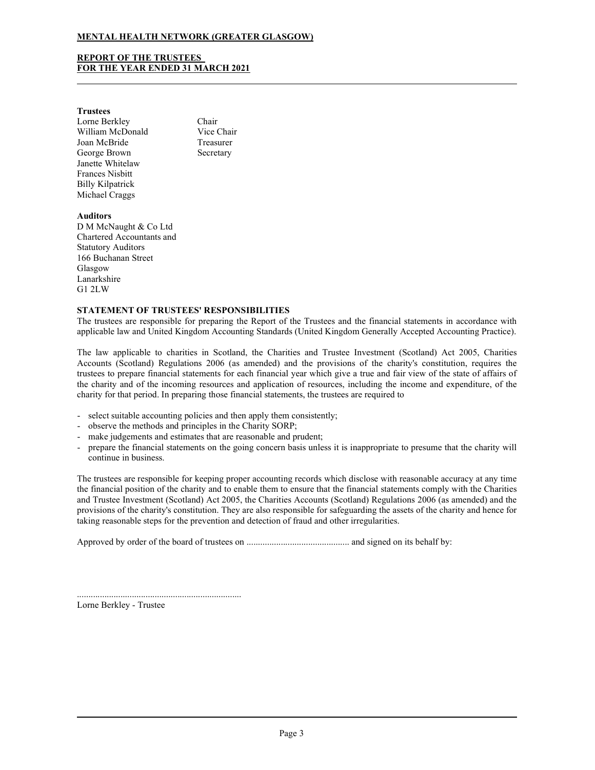## REPORT OF THE TRUSTEES FOR THE YEAR ENDED 31 MARCH 2021

#### **Trustees**

Lorne Berkley Chair William McDonald Vice Chair Joan McBride Treasurer George Brown Secretary Janette Whitelaw Frances Nisbitt Billy Kilpatrick Michael Craggs

## Auditors

D M McNaught & Co Ltd Chartered Accountants and Statutory Auditors 166 Buchanan Street Glasgow Lanarkshire G1 2LW

## STATEMENT OF TRUSTEES' RESPONSIBILITIES

The trustees are responsible for preparing the Report of the Trustees and the financial statements in accordance with applicable law and United Kingdom Accounting Standards (United Kingdom Generally Accepted Accounting Practice).

The law applicable to charities in Scotland, the Charities and Trustee Investment (Scotland) Act 2005, Charities Accounts (Scotland) Regulations 2006 (as amended) and the provisions of the charity's constitution, requires the trustees to prepare financial statements for each financial year which give a true and fair view of the state of affairs of the charity and of the incoming resources and application of resources, including the income and expenditure, of the charity for that period. In preparing those financial statements, the trustees are required to

- select suitable accounting policies and then apply them consistently;
- observe the methods and principles in the Charity SORP;
- make judgements and estimates that are reasonable and prudent;
- prepare the financial statements on the going concern basis unless it is inappropriate to presume that the charity will continue in business.

The trustees are responsible for keeping proper accounting records which disclose with reasonable accuracy at any time the financial position of the charity and to enable them to ensure that the financial statements comply with the Charities and Trustee Investment (Scotland) Act 2005, the Charities Accounts (Scotland) Regulations 2006 (as amended) and the provisions of the charity's constitution. They are also responsible for safeguarding the assets of the charity and hence for taking reasonable steps for the prevention and detection of fraud and other irregularities.

Approved by order of the board of trustees on ............................................. and signed on its behalf by:

Lorne Berkley - Trustee

........................................................................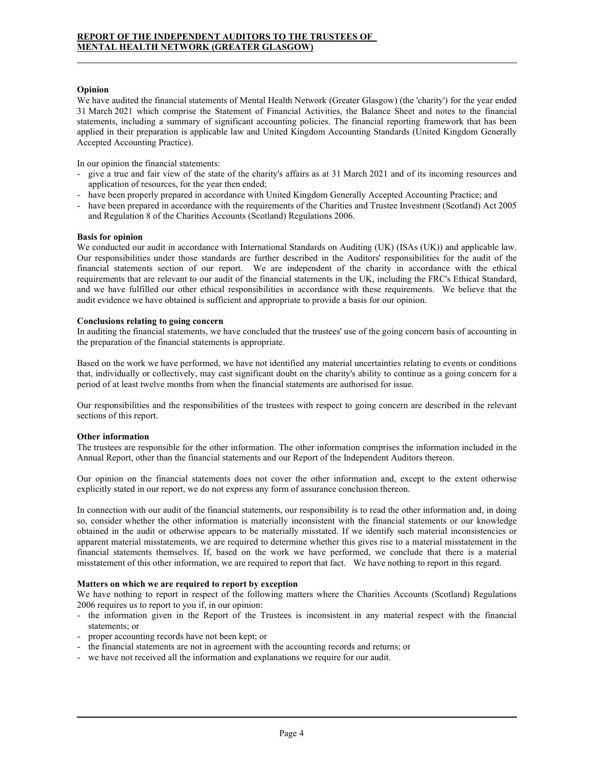## Opinion

We have audited the financial statements of Mental Health Network (Greater Glasgow) (the 'charity') for the year ended 31 March 2021 which comprise the Statement of Financial Activities, the Balance Sheet and notes to the financial statements, including a summary of significant accounting policies. The financial reporting framework that has been applied in their preparation is applicable law and United Kingdom Accounting Standards (United Kingdom Generally Accepted Accounting Practice).

In our opinion the financial statements:

- give a true and fair view of the state of the charity's affairs as at 31 March 2021 and of its incoming resources and application of resources, for the year then ended;
- have been properly prepared in accordance with United Kingdom Generally Accepted Accounting Practice; and
- have been prepared in accordance with the requirements of the Charities and Trustee Investment (Scotland) Act 2005 and Regulation 8 of the Charities Accounts (Scotland) Regulations 2006.

## Basis for opinion

We conducted our audit in accordance with International Standards on Auditing (UK) (ISAs (UK)) and applicable law. Our responsibilities under those standards are further described in the Auditors' responsibilities for the audit of the financial statements section of our report. We are independent of the charity in accordance with the ethical requirements that are relevant to our audit of the financial statements in the UK, including the FRC's Ethical Standard, and we have fulfilled our other ethical responsibilities in accordance with these requirements. We believe that the audit evidence we have obtained is sufficient and appropriate to provide a basis for our opinion.

#### Conclusions relating to going concern

In auditing the financial statements, we have concluded that the trustees' use of the going concern basis of accounting in the preparation of the financial statements is appropriate.

Based on the work we have performed, we have not identified any material uncertainties relating to events or conditions that, individually or collectively, may cast significant doubt on the charity's ability to continue as a going concern for a period of at least twelve months from when the financial statements are authorised for issue.

Our responsibilities and the responsibilities of the trustees with respect to going concern are described in the relevant sections of this report.

## Other information

The trustees are responsible for the other information. The other information comprises the information included in the Annual Report, other than the financial statements and our Report of the Independent Auditors thereon.

Our opinion on the financial statements does not cover the other information and, except to the extent otherwise explicitly stated in our report, we do not express any form of assurance conclusion thereon.

In connection with our audit of the financial statements, our responsibility is to read the other information and, in doing so, consider whether the other information is materially inconsistent with the financial statements or our knowledge obtained in the audit or otherwise appears to be materially misstated. If we identify such material inconsistencies or apparent material misstatements, we are required to determine whether this gives rise to a material misstatement in the financial statements themselves. If, based on the work we have performed, we conclude that there is a material misstatement of this other information, we are required to report that fact. We have nothing to report in this regard.

## Matters on which we are required to report by exception

We have nothing to report in respect of the following matters where the Charities Accounts (Scotland) Regulations 2006 requires us to report to you if, in our opinion:

- the information given in the Report of the Trustees is inconsistent in any material respect with the financial statements; or
- proper accounting records have not been kept; or
- the financial statements are not in agreement with the accounting records and returns; or
- we have not received all the information and explanations we require for our audit.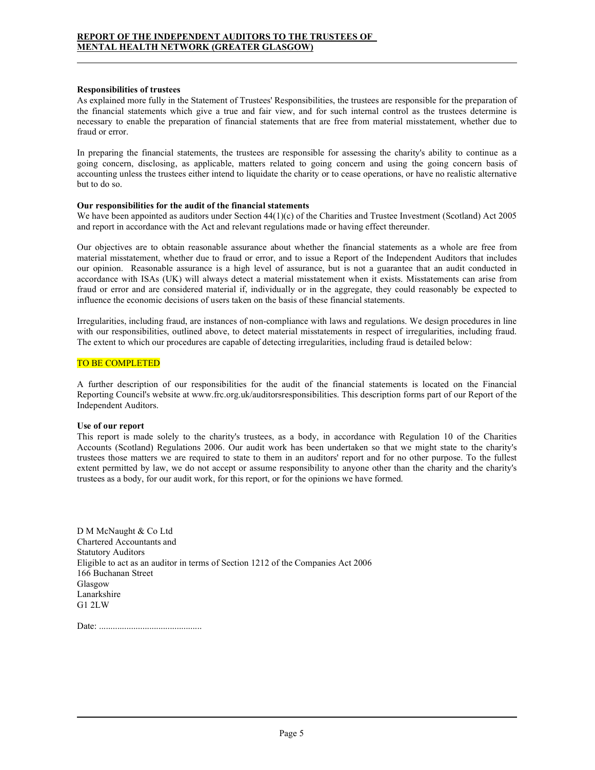## Responsibilities of trustees

As explained more fully in the Statement of Trustees' Responsibilities, the trustees are responsible for the preparation of the financial statements which give a true and fair view, and for such internal control as the trustees determine is necessary to enable the preparation of financial statements that are free from material misstatement, whether due to fraud or error.

In preparing the financial statements, the trustees are responsible for assessing the charity's ability to continue as a going concern, disclosing, as applicable, matters related to going concern and using the going concern basis of accounting unless the trustees either intend to liquidate the charity or to cease operations, or have no realistic alternative but to do so.

#### Our responsibilities for the audit of the financial statements

We have been appointed as auditors under Section  $44(1)(c)$  of the Charities and Trustee Investment (Scotland) Act 2005 and report in accordance with the Act and relevant regulations made or having effect thereunder.

Our objectives are to obtain reasonable assurance about whether the financial statements as a whole are free from material misstatement, whether due to fraud or error, and to issue a Report of the Independent Auditors that includes our opinion. Reasonable assurance is a high level of assurance, but is not a guarantee that an audit conducted in accordance with ISAs (UK) will always detect a material misstatement when it exists. Misstatements can arise from fraud or error and are considered material if, individually or in the aggregate, they could reasonably be expected to influence the economic decisions of users taken on the basis of these financial statements.

Irregularities, including fraud, are instances of non-compliance with laws and regulations. We design procedures in line with our responsibilities, outlined above, to detect material misstatements in respect of irregularities, including fraud. The extent to which our procedures are capable of detecting irregularities, including fraud is detailed below:

### TO BE COMPLETED

A further description of our responsibilities for the audit of the financial statements is located on the Financial Reporting Council's website at www.frc.org.uk/auditorsresponsibilities. This description forms part of our Report of the Independent Auditors.

## Use of our report

This report is made solely to the charity's trustees, as a body, in accordance with Regulation 10 of the Charities Accounts (Scotland) Regulations 2006. Our audit work has been undertaken so that we might state to the charity's trustees those matters we are required to state to them in an auditors' report and for no other purpose. To the fullest extent permitted by law, we do not accept or assume responsibility to anyone other than the charity and the charity's trustees as a body, for our audit work, for this report, or for the opinions we have formed.

D M McNaught & Co Ltd Chartered Accountants and Statutory Auditors Eligible to act as an auditor in terms of Section 1212 of the Companies Act 2006 166 Buchanan Street Glasgow Lanarkshire G1 2LW

Date: .............................................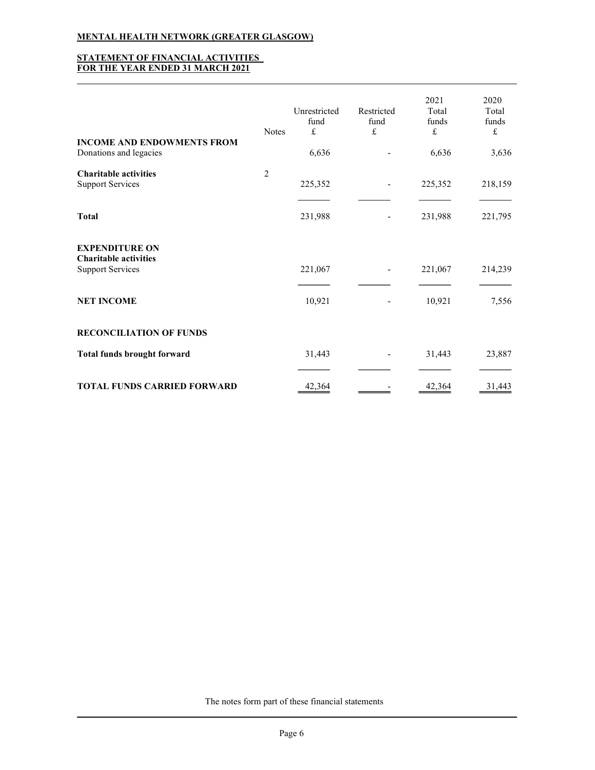## STATEMENT OF FINANCIAL ACTIVITIES FOR THE YEAR ENDED 31 MARCH 2021

|                                                                                  | <b>Notes</b> | Unrestricted<br>fund<br>£ | Restricted<br>fund<br>$\pounds$ | 2021<br>Total<br>funds<br>£ | 2020<br>Total<br>funds<br>$\pounds$ |
|----------------------------------------------------------------------------------|--------------|---------------------------|---------------------------------|-----------------------------|-------------------------------------|
| <b>INCOME AND ENDOWMENTS FROM</b><br>Donations and legacies                      |              | 6,636                     |                                 | 6,636                       | 3,636                               |
| <b>Charitable activities</b><br><b>Support Services</b>                          | $\sqrt{2}$   | 225,352                   |                                 | 225,352                     | 218,159                             |
| <b>Total</b>                                                                     |              | 231,988                   |                                 | 231,988                     | 221,795                             |
| <b>EXPENDITURE ON</b><br><b>Charitable activities</b><br><b>Support Services</b> |              | 221,067                   |                                 | 221,067                     | 214,239                             |
| <b>NET INCOME</b>                                                                |              | 10,921                    |                                 | 10,921                      | 7,556                               |
| <b>RECONCILIATION OF FUNDS</b>                                                   |              |                           |                                 |                             |                                     |
| <b>Total funds brought forward</b>                                               |              | 31,443                    |                                 | 31,443                      | 23,887                              |
| <b>TOTAL FUNDS CARRIED FORWARD</b>                                               |              | 42,364                    |                                 | 42,364                      | 31,443                              |

The notes form part of these financial statements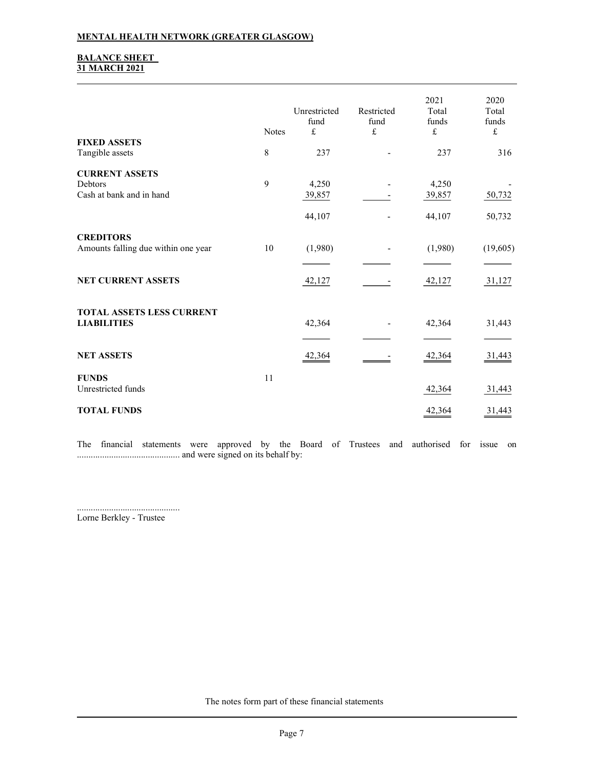## **BALANCE SHEET** 31 MARCH 2021

| 2021<br>Unrestricted<br>Restricted<br>Total<br>fund<br>fund<br>funds<br>$\mathfrak{L}% _{F}$<br>£<br>£<br><b>Notes</b><br><b>FIXED ASSETS</b> | Total<br>funds<br>£ |
|-----------------------------------------------------------------------------------------------------------------------------------------------|---------------------|
| $\,8\,$<br>Tangible assets<br>237<br>237                                                                                                      | 316                 |
| <b>CURRENT ASSETS</b>                                                                                                                         |                     |
| 9<br>4,250<br>4,250<br>Debtors                                                                                                                |                     |
| Cash at bank and in hand<br>39,857<br>39,857                                                                                                  | 50,732              |
| 44,107<br>44,107                                                                                                                              | 50,732              |
| <b>CREDITORS</b>                                                                                                                              |                     |
| 10<br>(1,980)<br>Amounts falling due within one year<br>(1,980)                                                                               | (19,605)            |
|                                                                                                                                               |                     |
| <b>NET CURRENT ASSETS</b><br>42,127<br>42,127                                                                                                 | 31,127              |
| <b>TOTAL ASSETS LESS CURRENT</b>                                                                                                              |                     |
| <b>LIABILITIES</b><br>42,364<br>42,364                                                                                                        | 31,443              |
|                                                                                                                                               |                     |
| <b>NET ASSETS</b><br>42,364<br>42,364                                                                                                         | 31,443              |
| <b>FUNDS</b><br>11                                                                                                                            |                     |
| Unrestricted funds<br>42,364                                                                                                                  | 31,443              |
| <b>TOTAL FUNDS</b><br>42,364                                                                                                                  | 31,443              |

The financial statements were approved by the Board of Trustees and authorised for issue on ............................................. and were signed on its behalf by:

............................................. Lorne Berkley - Trustee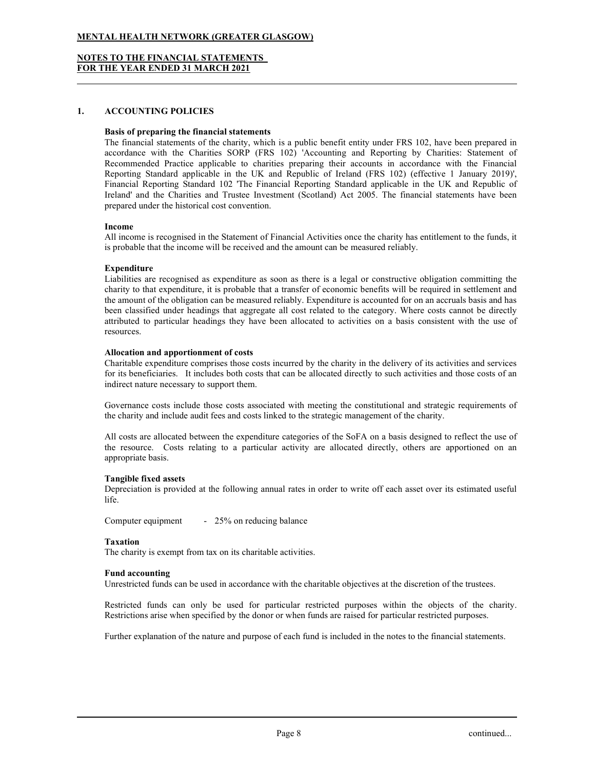## NOTES TO THE FINANCIAL STATEMENTS FOR THE YEAR ENDED 31 MARCH 2021

## 1. ACCOUNTING POLICIES

## Basis of preparing the financial statements

The financial statements of the charity, which is a public benefit entity under FRS 102, have been prepared in accordance with the Charities SORP (FRS 102) 'Accounting and Reporting by Charities: Statement of Recommended Practice applicable to charities preparing their accounts in accordance with the Financial Reporting Standard applicable in the UK and Republic of Ireland (FRS 102) (effective 1 January 2019)', Financial Reporting Standard 102 'The Financial Reporting Standard applicable in the UK and Republic of Ireland' and the Charities and Trustee Investment (Scotland) Act 2005. The financial statements have been prepared under the historical cost convention.

#### Income

All income is recognised in the Statement of Financial Activities once the charity has entitlement to the funds, it is probable that the income will be received and the amount can be measured reliably.

#### Expenditure

Liabilities are recognised as expenditure as soon as there is a legal or constructive obligation committing the charity to that expenditure, it is probable that a transfer of economic benefits will be required in settlement and the amount of the obligation can be measured reliably. Expenditure is accounted for on an accruals basis and has been classified under headings that aggregate all cost related to the category. Where costs cannot be directly attributed to particular headings they have been allocated to activities on a basis consistent with the use of resources.

#### Allocation and apportionment of costs

Charitable expenditure comprises those costs incurred by the charity in the delivery of its activities and services for its beneficiaries. It includes both costs that can be allocated directly to such activities and those costs of an indirect nature necessary to support them.

Governance costs include those costs associated with meeting the constitutional and strategic requirements of the charity and include audit fees and costs linked to the strategic management of the charity.

All costs are allocated between the expenditure categories of the SoFA on a basis designed to reflect the use of the resource. Costs relating to a particular activity are allocated directly, others are apportioned on an appropriate basis.

## Tangible fixed assets

Depreciation is provided at the following annual rates in order to write off each asset over its estimated useful life.

Computer equipment - 25% on reducing balance

#### Taxation

The charity is exempt from tax on its charitable activities.

## Fund accounting

Unrestricted funds can be used in accordance with the charitable objectives at the discretion of the trustees.

Restricted funds can only be used for particular restricted purposes within the objects of the charity. Restrictions arise when specified by the donor or when funds are raised for particular restricted purposes.

Further explanation of the nature and purpose of each fund is included in the notes to the financial statements.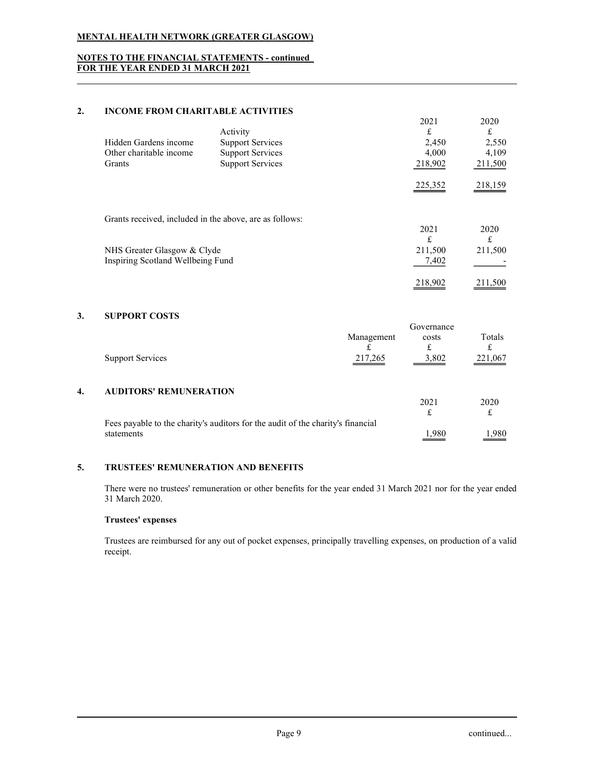## NOTES TO THE FINANCIAL STATEMENTS - continued FOR THE YEAR ENDED 31 MARCH 2021

## 2. INCOME FROM CHARITABLE ACTIVITIES

|    |                                                         |                         |            | 2021       | 2020       |
|----|---------------------------------------------------------|-------------------------|------------|------------|------------|
|    |                                                         | Activity                |            | £          | £          |
|    | Hidden Gardens income                                   | <b>Support Services</b> |            | 2,450      | 2,550      |
|    | Other charitable income                                 | <b>Support Services</b> |            | 4,000      | 4,109      |
|    | Grants                                                  | <b>Support Services</b> |            | 218,902    | 211,500    |
|    |                                                         |                         |            | 225,352    | 218,159    |
|    | Grants received, included in the above, are as follows: |                         |            |            |            |
|    |                                                         |                         |            | 2021       | 2020       |
|    |                                                         |                         |            | £          | $\frak{t}$ |
|    | NHS Greater Glasgow & Clyde                             |                         |            | 211,500    | 211,500    |
|    | Inspiring Scotland Wellbeing Fund                       |                         |            | 7,402      |            |
|    |                                                         |                         |            | 218,902    | 211,500    |
| 3. | <b>SUPPORT COSTS</b>                                    |                         |            |            |            |
|    |                                                         |                         |            | Governance |            |
|    |                                                         |                         | Management | costs      | Totals     |
|    |                                                         |                         | £          | £          | £          |
|    | <b>Support Services</b>                                 |                         | 217,265    | 3,802      | 221,067    |
|    |                                                         |                         |            |            |            |

## 4. AUDITORS' REMUNERATION

|                                                                                 | 2021              | 2020              |
|---------------------------------------------------------------------------------|-------------------|-------------------|
|                                                                                 |                   |                   |
| Fees payable to the charity's auditors for the audit of the charity's financial |                   |                   |
| statements                                                                      | $\frac{1,980}{2}$ | $\frac{1,980}{2}$ |

## 5. TRUSTEES' REMUNERATION AND BENEFITS

There were no trustees' remuneration or other benefits for the year ended 31 March 2021 nor for the year ended 31 March 2020.

## Trustees' expenses

Trustees are reimbursed for any out of pocket expenses, principally travelling expenses, on production of a valid receipt.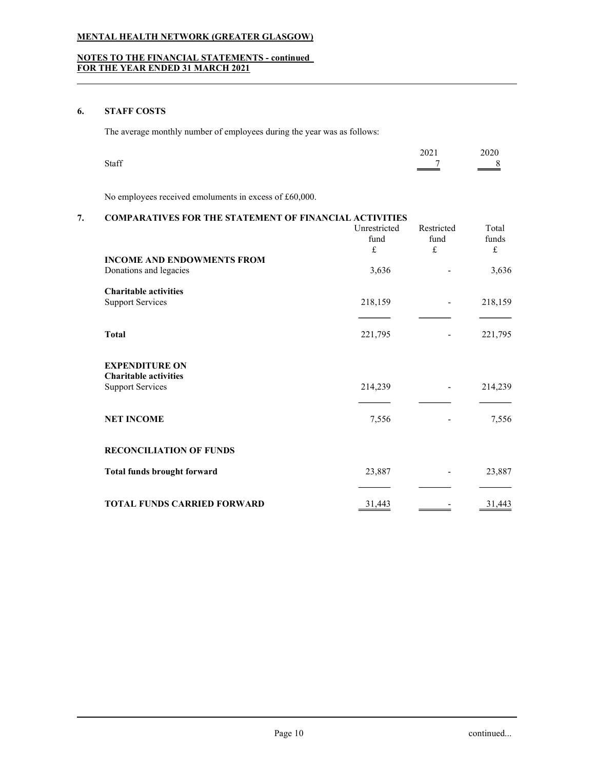# NOTES TO THE FINANCIAL STATEMENTS - continued FOR THE YEAR ENDED 31 MARCH 2021

## 6. STAFF COSTS

The average monthly number of employees during the year was as follows:

|       | 2021    | 2020              |
|-------|---------|-------------------|
| Staff | _______ | $\hspace{0.05cm}$ |

No employees received emoluments in excess of £60,000.

## 7. COMPARATIVES FOR THE STATEMENT OF FINANCIAL ACTIVITIES

|                                                             | Unrestricted<br>fund<br>$\pounds$ | Restricted<br>fund<br>£  | Total<br>funds<br>$\mathbf f$ |
|-------------------------------------------------------------|-----------------------------------|--------------------------|-------------------------------|
| <b>INCOME AND ENDOWMENTS FROM</b><br>Donations and legacies | 3,636                             |                          | 3,636                         |
|                                                             |                                   |                          |                               |
| <b>Charitable activities</b>                                |                                   |                          |                               |
| <b>Support Services</b>                                     | 218,159                           | $\overline{\phantom{a}}$ | 218,159                       |
|                                                             |                                   |                          |                               |
| <b>Total</b>                                                | 221,795                           |                          | 221,795                       |
| <b>EXPENDITURE ON</b>                                       |                                   |                          |                               |
| <b>Charitable activities</b>                                |                                   |                          |                               |
| <b>Support Services</b>                                     | 214,239                           | $\overline{\phantom{a}}$ | 214,239                       |
| <b>NET INCOME</b>                                           | 7,556                             |                          | 7,556                         |
| <b>RECONCILIATION OF FUNDS</b>                              |                                   |                          |                               |
| <b>Total funds brought forward</b>                          | 23,887                            |                          | 23,887                        |
|                                                             |                                   |                          |                               |
| <b>TOTAL FUNDS CARRIED FORWARD</b>                          | 31,443                            |                          | 31,443                        |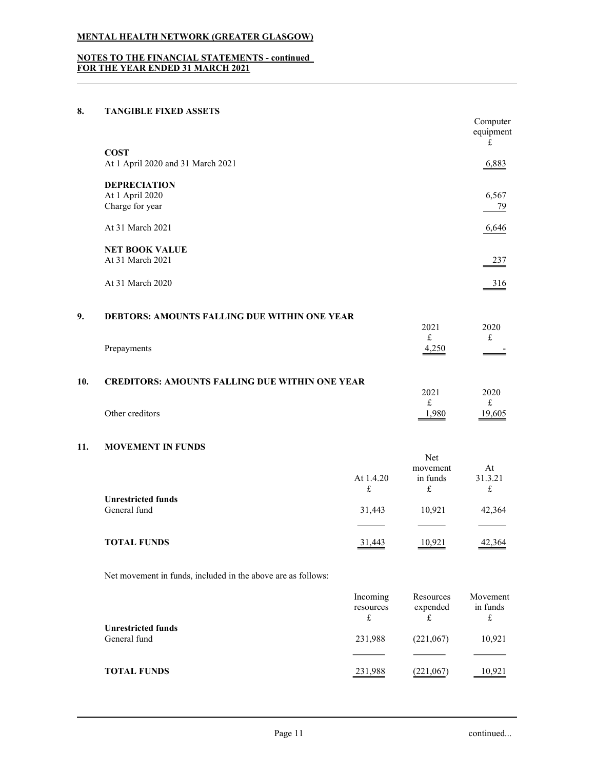# NOTES TO THE FINANCIAL STATEMENTS - continued FOR THE YEAR ENDED 31 MARCH 2021

## 8. TANGIBLE FIXED ASSETS

|     |                                                       |            | Computer<br>equipment<br>£ |
|-----|-------------------------------------------------------|------------|----------------------------|
|     | <b>COST</b>                                           |            |                            |
|     | At 1 April 2020 and 31 March 2021                     |            | 6,883                      |
|     | <b>DEPRECIATION</b>                                   |            |                            |
|     | At 1 April 2020                                       |            | 6,567                      |
|     | Charge for year                                       |            | 79                         |
|     | At 31 March 2021                                      |            | 6,646                      |
|     | <b>NET BOOK VALUE</b>                                 |            |                            |
|     | At 31 March 2021                                      |            | 237                        |
|     | At 31 March 2020                                      |            | 316                        |
| 9.  | <b>DEBTORS: AMOUNTS FALLING DUE WITHIN ONE YEAR</b>   | 2021       | 2020                       |
|     | Prepayments                                           | £<br>4,250 | $\frak{t}$                 |
| 10. | <b>CREDITORS: AMOUNTS FALLING DUE WITHIN ONE YEAR</b> |            |                            |
|     |                                                       | 2021<br>£  | 2020<br>$\frak{t}$         |
|     | Other creditors                                       | 1,980      | 19,605                     |
| 11. | <b>MOVEMENT IN FUNDS</b>                              |            |                            |
|     |                                                       | Net        |                            |
|     |                                                       | movement   | At                         |
|     | At $1.4.20$                                           | in funds   | 31.3.21                    |

|                                    | AU 1.4. $\angle$ U | ш тапаз | 21.2.21<br>£  |
|------------------------------------|--------------------|---------|---------------|
| Unrestricted funds<br>General fund | 31.443             | 10.921  | 42,364        |
|                                    |                    |         |               |
| <b>TOTAL FUNDS</b>                 | 31,443             | 10,921  | <u>42,364</u> |

Net movement in funds, included in the above are as follows:

|                                           | Incoming<br>resources<br>£ | Resources<br>expended<br>£ | Movement<br>in funds<br>£ |
|-------------------------------------------|----------------------------|----------------------------|---------------------------|
| <b>Unrestricted funds</b><br>General fund | 231,988                    | (221,067)                  | 10,921                    |
| <b>TOTAL FUNDS</b>                        | 231,988                    | (221, 067)                 | 10,921                    |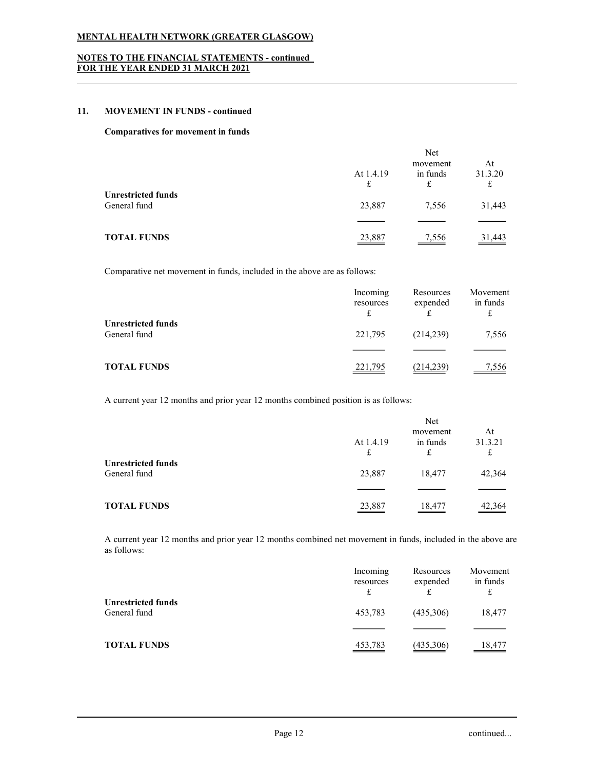## NOTES TO THE FINANCIAL STATEMENTS - continued FOR THE YEAR ENDED 31 MARCH 2021

#### 11. MOVEMENT IN FUNDS - continued

#### Comparatives for movement in funds

|                                           |                | Net                       |                    |
|-------------------------------------------|----------------|---------------------------|--------------------|
|                                           | At 1.4.19<br>£ | movement<br>in funds<br>£ | At<br>31.3.20<br>£ |
| <b>Unrestricted funds</b><br>General fund | 23,887         | 7,556                     | 31,443             |
| <b>TOTAL FUNDS</b>                        | 23,887         | 7,556                     | 31,443             |

Comparative net movement in funds, included in the above are as follows:

|                                           | Incoming<br>resources<br>£ | Resources<br>expended<br>£ | Movement<br>in funds<br>£ |
|-------------------------------------------|----------------------------|----------------------------|---------------------------|
| <b>Unrestricted funds</b><br>General fund | 221,795                    | (214, 239)                 | 7,556                     |
| <b>TOTAL FUNDS</b>                        | 221,795                    | (214, 239)                 | 7,556                     |

A current year 12 months and prior year 12 months combined position is as follows:

|                                           | At 1.4.19<br>£ | Net<br>movement<br>in funds<br>£ | At<br>31.3.21<br>£ |
|-------------------------------------------|----------------|----------------------------------|--------------------|
| <b>Unrestricted funds</b><br>General fund | 23,887         | 18,477                           | 42,364             |
| <b>TOTAL FUNDS</b>                        | 23,887         | 18.477                           | 42.364             |

A current year 12 months and prior year 12 months combined net movement in funds, included in the above are as follows:

|                                           | Incoming<br>resources<br>£ | Resources<br>expended<br>£ | Movement<br>in funds<br>£ |
|-------------------------------------------|----------------------------|----------------------------|---------------------------|
| <b>Unrestricted funds</b><br>General fund | 453,783                    | (435,306)                  | 18,477                    |
| <b>TOTAL FUNDS</b>                        | 453,783                    | (435,306)                  | 18,477                    |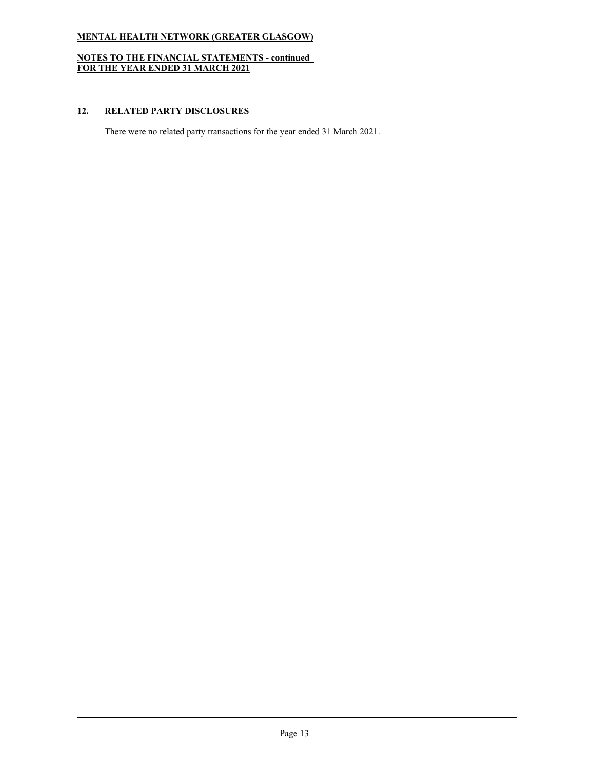NOTES TO THE FINANCIAL STATEMENTS - continued FOR THE YEAR ENDED 31 MARCH 2021

## 12. RELATED PARTY DISCLOSURES

There were no related party transactions for the year ended 31 March 2021.